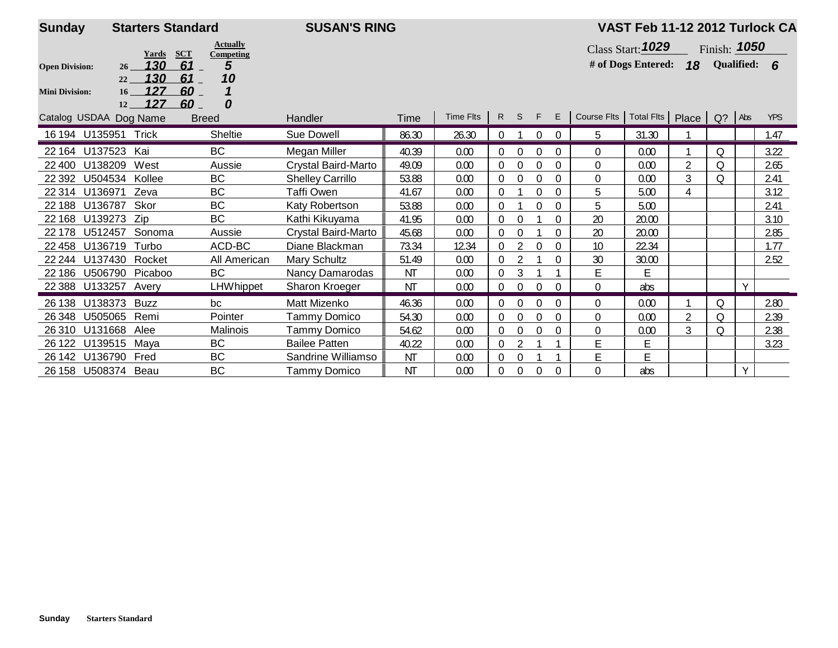| <b>Sunday</b>          | <b>Starters Standard</b>                           |                              | <b>SUSAN'S RING</b>     |           |           |                |                |                  |             |                                             | VAST Feb 11-12 2012 Turlock CA |                |                     |   |            |
|------------------------|----------------------------------------------------|------------------------------|-------------------------|-----------|-----------|----------------|----------------|------------------|-------------|---------------------------------------------|--------------------------------|----------------|---------------------|---|------------|
|                        | <b>SCT</b><br>Yards                                | <b>Actually</b><br>Competing |                         |           |           |                |                |                  |             |                                             | Class Start: 1029              |                | Finish: <b>1050</b> |   |            |
| <b>Open Division:</b>  | 130<br>61<br>26                                    | 5                            |                         |           |           |                |                |                  |             |                                             | # of Dogs Entered: $18$        |                | Qualified: 6        |   |            |
|                        | 130<br>61<br>22                                    | 10                           |                         |           |           |                |                |                  |             |                                             |                                |                |                     |   |            |
| <b>Mini Division:</b>  | 127<br>$60-$<br>16 <sup>1</sup><br>127<br>60<br>12 | 0                            |                         |           |           |                |                |                  |             |                                             |                                |                |                     |   |            |
| Catalog USDAA Dog Name |                                                    | <b>Breed</b>                 | Handler                 | Time      | Time Flts |                | R S F          |                  | E           | Course Fits   Total Fits   Place   Q?   Abs |                                |                |                     |   | <b>YPS</b> |
| 16 194 U135951 Trick   |                                                    | Sheltie                      | Sue Dowell              | 86.30     | 26.30     | $\overline{0}$ |                | $\Omega$         | $\Omega$    | 5                                           | 31.30                          |                |                     |   | 1.47       |
| U137523<br>22 164      | Kai                                                | BC                           | Megan Miller            | 40.39     | 0.00      | 0              | $\mathbf 0$    | $\theta$         | $\theta$    | $\theta$                                    | 0.00                           |                | Q                   |   | 3.22       |
| U138209<br>22 400      | West                                               | Aussie                       | Crystal Baird-Marto     | 49.09     | 0.00      | $\Omega$       | $\Omega$       | $\Omega$         |             | $\Omega$                                    | 0.00                           | 2              | $\Omega$            |   | 2.65       |
| U504534<br>22 3 9 2    | Kollee                                             | <b>BC</b>                    | <b>Shelley Carrillo</b> | 53.88     | 0.00      | $\overline{0}$ | $\theta$       | $\Omega$         | $\theta$    | $\Omega$                                    | 0.00                           | 3              | $\Omega$            |   | 2.41       |
| 22 3 14<br>U136971     | Zeva                                               | BC                           | <b>Taffi Owen</b>       | 41.67     | 0.00      | $\Omega$       |                | $\theta$         | $\theta$    | 5                                           | 5.00                           | 4              |                     |   | 3.12       |
| U136787<br>22 188      | Skor                                               | <b>BC</b>                    | Katy Robertson          | 53.88     | 0.00      | $\Omega$       |                | $\boldsymbol{0}$ | $\mathbf 0$ | 5                                           | 5.00                           |                |                     |   | 2.41       |
| 22 168<br>U139273      | Zip                                                | <b>BC</b>                    | Kathi Kikuyama          | 41.95     | 0.00      | 0              | $\mathbf 0$    |                  | $\Omega$    | 20                                          | 20.00                          |                |                     |   | 3.10       |
| U512457<br>22 178      | Sonoma                                             | Aussie                       | Crystal Baird-Marto     | 45.68     | 0.00      | $\Omega$       | $\Omega$       |                  | $\Omega$    | 20                                          | 20.00                          |                |                     |   | 2.85       |
| U136719<br>22 4 58     | Turbo                                              | ACD-BC                       | Diane Blackman          | 73.34     | 12.34     | $\Omega$       |                | $\Omega$         | $\theta$    | 10                                          | 22.34                          |                |                     |   | 1.77       |
| 22 244                 | U137430 Rocket                                     | All American                 | Mary Schultz            | 51.49     | 0.00      | $\overline{0}$ | $\overline{2}$ |                  | $\Omega$    | 30                                          | 30.00                          |                |                     |   | 2.52       |
| 22 18 6                | U506790 Picaboo                                    | <b>BC</b>                    | <b>Nancy Damarodas</b>  | <b>NT</b> | 0.00      |                | 3              |                  |             | E.                                          | E                              |                |                     |   |            |
| U133257<br>22 3 88     | Avery                                              | <b>LHWhippet</b>             | Sharon Kroeger          | <b>NT</b> | 0.00      | $\Omega$       | $\mathbf 0$    | $\Omega$         | $\Omega$    | $\Omega$                                    | abs                            |                |                     | Y |            |
| U138373<br>26 138      | <b>Buzz</b>                                        | bc                           | Matt Mizenko            | 46.36     | 0.00      | $\overline{0}$ | $\theta$       | $\Omega$         | $\theta$    | $\Omega$                                    | 0.00                           |                | Q                   |   | 2.80       |
| U505065<br>26 348      | Remi                                               | Pointer                      | Tammy Domico            | 54.30     | 0.00      | $\overline{0}$ | $\Omega$       | $\theta$         | $\theta$    | $\overline{0}$                              | 0.00                           | $\overline{2}$ | $\Omega$            |   | 2.39       |
| U131668<br>26 310      | Alee                                               | Malinois                     | Tammy Domico            | 54.62     | 0.00      | 0              | $\mathbf 0$    | 0                | $\mathbf 0$ | $\Omega$                                    | 0.00                           | 3              | $\Omega$            |   | 2.38       |
| 26 122<br>U139515      | Maya                                               | BC                           | <b>Bailee Patten</b>    | 40.22     | 0.00      | 0              | $\overline{2}$ |                  |             | E                                           | E                              |                |                     |   | 3.23       |
| 26 142<br>U136790      | Fred                                               | <b>BC</b>                    | Sandrine Williamso      | <b>NT</b> | 0.00      | $\Omega$       | $\Omega$       |                  |             | E                                           | E                              |                |                     |   |            |
| 26 158 U508374 Beau    |                                                    | BC                           | Tammy Domico            | <b>NT</b> | 0.00      | 0              | $\mathbf{0}$   | $\overline{0}$   | $\theta$    | $\theta$                                    | abs                            |                |                     | Y |            |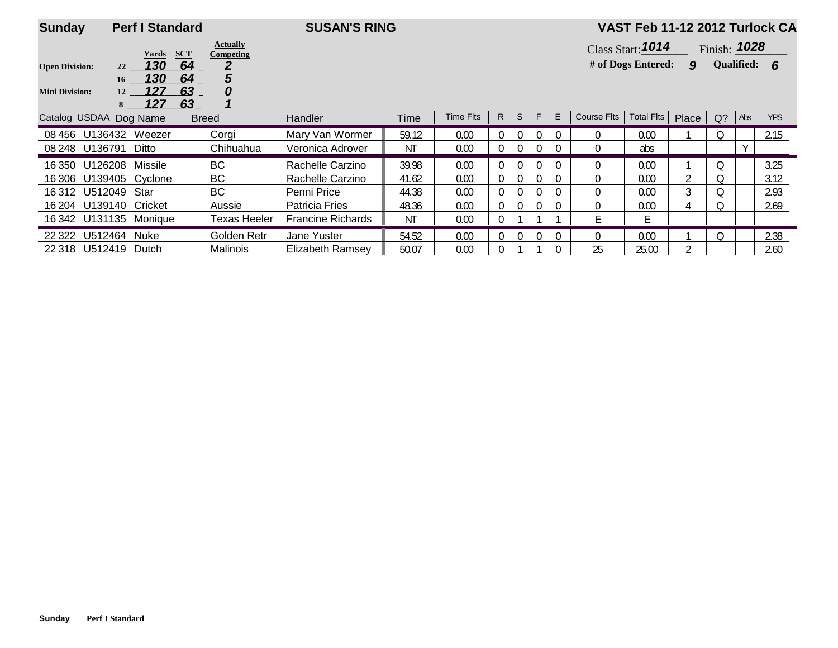| <b>Sunday</b>          | <b>Perf I Standard</b>              |                                            | <b>SUSAN'S RING</b>      |       |           |          |          |          |          |                                   | VAST Feb 11-12 2012 Turlock CA |                |              |        |            |  |
|------------------------|-------------------------------------|--------------------------------------------|--------------------------|-------|-----------|----------|----------|----------|----------|-----------------------------------|--------------------------------|----------------|--------------|--------|------------|--|
|                        | Yards                               | <b>Actually</b><br><b>SCT</b><br>Competing |                          |       |           |          |          |          |          | Class Start: 1014<br>Finish: 1028 |                                |                |              |        |            |  |
| <b>Open Division:</b>  | 130<br>22                           | 64<br>2                                    |                          |       |           |          |          |          |          |                                   | # of Dogs Entered:             | 9              | Qualified: 6 |        |            |  |
| <b>Mini Division:</b>  | 130<br>16 <sup>1</sup><br>127<br>12 | 64<br>5<br>63<br>0                         |                          |       |           |          |          |          |          |                                   |                                |                |              |        |            |  |
|                        | 127<br>8                            | 63.                                        |                          |       |           |          |          |          |          |                                   |                                |                |              |        |            |  |
| Catalog USDAA Dog Name |                                     | <b>Breed</b>                               | <b>Handler</b>           | Time  | Time Flts | R        | S F      |          | E        | Course Flts                       | Total Fits Place Q? Abs        |                |              |        | <b>YPS</b> |  |
|                        | 08 456 U136432 Weezer               | Corai                                      | Mary Van Wormer          | 59.12 | 0.00      | $\Omega$ | $\Omega$ |          | $\Omega$ | $\Omega$                          | 0.00                           |                | $\Omega$     |        | 2.15       |  |
| 08 248 U136791         | Ditto                               | Chihuahua                                  | Veronica Adrover         | ΝT    | 0.00      | 0        | $\Omega$ | $\Omega$ | $\Omega$ | $\overline{0}$                    | abs                            |                |              | $\vee$ |            |  |
| 16 350 U126208         | Missile                             | BC                                         | Rachelle Carzino         | 39.98 | 0.00      | $\Omega$ | $\Omega$ |          | $\Omega$ | $\Omega$                          | 0.00                           |                | Q            |        | 3.25       |  |
|                        | 16 306 U139405 Cyclone              | BC                                         | Rachelle Carzino         | 41.62 | 0.00      | $\Omega$ | $\Omega$ | O        | $\Omega$ | $\Omega$                          | 0.00                           | $\overline{2}$ | Q            |        | 3.12       |  |
| 16 312 U512049 Star    |                                     | BC                                         | Penni Price              | 44.38 | 0.00      | $\Omega$ | $\Omega$ |          | $\Omega$ | $\Omega$                          | 0.00                           | 3              | Q            |        | 2.93       |  |
|                        | 16 204 U139140 Cricket              | Aussie                                     | <b>Patricia Fries</b>    | 48.36 | 0.00      | $\Omega$ | $\Omega$ |          | $\Omega$ | $\overline{0}$                    | 0.00                           | 4              | 0            |        | 2.69       |  |
|                        | 16 342 U131135 Monique              | <b>Texas Heeler</b>                        | <b>Francine Richards</b> | ΝT    | 0.00      | $\theta$ |          |          |          | E.                                | E                              |                |              |        |            |  |
| U512464<br>22 3 22     | <b>Nuke</b>                         | Golden Retr                                | Jane Yuster              | 54.52 | 0.00      | $\Omega$ | $\Omega$ |          | $\Omega$ | $\Omega$                          | 0.00                           |                | Q            |        | 2.38       |  |
| 22 318 U512419         | Dutch                               | Malinois                                   | Elizabeth Ramsey         | 50.07 | 0.00      |          |          |          | $\Omega$ | 25                                | 25.00                          |                |              |        | 2.60       |  |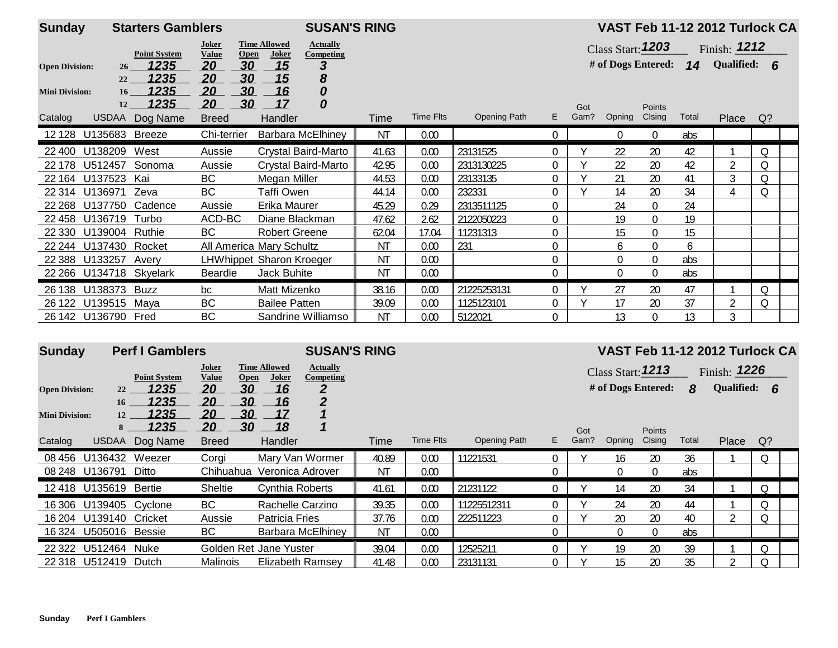| <b>Sunday</b>         |                         | <b>Starters Gamblers</b> |                       |                                      | <b>SUSAN'S RING</b>          |           |                  |              |                |             |                     |                  |       | VAST Feb 11-12 2012 Turlock CA       |    |  |
|-----------------------|-------------------------|--------------------------|-----------------------|--------------------------------------|------------------------------|-----------|------------------|--------------|----------------|-------------|---------------------|------------------|-------|--------------------------------------|----|--|
|                       |                         | <b>Point System</b>      | Joker<br><b>Value</b> | <b>Time Allowed</b><br>Open<br>Joker | <b>Actually</b><br>Competing |           |                  |              |                |             | Class Start: $1203$ |                  |       | Finish: $1212$                       |    |  |
| <b>Open Division:</b> | 26 <sup>2</sup>         | <u> 1235 </u>            | 20                    | 30<br>15                             | 3                            |           |                  |              |                |             |                     |                  |       | # of Dogs Entered: $14$ Qualified: 6 |    |  |
| <b>Mini Division:</b> | 22<br>$16-16$           | 1235<br>1235             | 20<br>20              | 30<br>15<br>30<br>16                 | 8<br>0                       |           |                  |              |                |             |                     |                  |       |                                      |    |  |
| Catalog               | 12                      | 1235<br>USDAA Dog Name   | 20<br><b>Breed</b>    | 30<br>17<br>Handler                  | 0                            | Time      | <b>Time Flts</b> | Opening Path | E.             | Got<br>Gam? | Opning              | Points<br>Clsing | Total | Place                                | Q? |  |
|                       | 12 128 U135683 Breeze   |                          | Chi-terrier           |                                      | <b>Barbara McElhiney</b>     | <b>NT</b> | 0.00             |              | $\overline{0}$ |             | 0                   | $\overline{0}$   | abs   |                                      |    |  |
| 22 400                | U138209                 | West                     | Aussie                |                                      | Crystal Baird-Marto          | 41.63     | 0.00             | 23131525     | $\Omega$       |             | 22                  | 20               | 42    |                                      | 0  |  |
| 22 178                | U512457                 | Sonoma                   | Aussie                |                                      | Crystal Baird-Marto          | 42.95     | 0.00             | 2313130225   | 0              |             | 22                  | 20               | 42    | $\overline{2}$                       | Q  |  |
|                       | 22 164 U137523 Kai      |                          | <b>BC</b>             | Megan Miller                         |                              | 44.53     | 0.00             | 23133135     | 0              |             | 21                  | 20               | 41    | 3                                    | Q  |  |
|                       | 22 314 U136971          | Zeva                     | BC                    | Taffi Owen                           |                              | 44.14     | 0.00             | 232331       | 0              |             | 14                  | 20               | 34    | 4                                    | Q  |  |
| 22 2 68               | U137750 Cadence         |                          | Aussie                | Erika Maurer                         |                              | 45.29     | 0.29             | 2313511125   | 0              |             | 24                  | $\overline{0}$   | 24    |                                      |    |  |
|                       | 22 458 U136719 Turbo    |                          | ACD-BC                | Diane Blackman                       |                              | 47.62     | 2.62             | 2122050223   | $\Omega$       |             | 19                  | $\overline{0}$   | 19    |                                      |    |  |
| 22 3 30               | U139004 Ruthie          |                          | BC                    | <b>Robert Greene</b>                 |                              | 62.04     | 17.04            | 11231313     | 0              |             | 15                  | $\overline{0}$   | 15    |                                      |    |  |
|                       | 22 244 U137430 Rocket   |                          |                       | All America Mary Schultz             |                              | <b>NT</b> | 0.00             | 231          | 0              |             | 6                   | 0                | 6     |                                      |    |  |
|                       | 22 388 U133257          | Avery                    |                       | LHWhippet Sharon Kroeger             |                              | <b>NT</b> | 0.00             |              | 0              |             | 0                   | $\boldsymbol{0}$ | abs   |                                      |    |  |
|                       | 22 266 U134718 Skyelark |                          | Beardie               | Jack Buhite                          |                              | ΝT        | 0.00             |              | 0              |             |                     | $\overline{0}$   | abs   |                                      |    |  |
|                       | 26 138 U138373 Buzz     |                          | bc                    | Matt Mizenko                         |                              | 38.16     | 0.00             | 21225253131  | $\Omega$       |             | 27                  | 20               | 47    |                                      | 0  |  |
| 26 122                | U139515 Maya            |                          | BC                    | <b>Bailee Patten</b>                 |                              | 39.09     | 0.00             | 1125123101   | 0              |             | 17                  | 20               | 37    | $\overline{2}$                       | Q  |  |
|                       | 26 142 U136790 Fred     |                          | BC                    |                                      | Sandrine Williamso           | <b>NT</b> | 0.00             | 5122021      | 0              |             | 13                  | $\mathbf 0$      | 13    | 3                                    |    |  |

| <b>Sunday</b>         |                        | <b>Perf I Gamblers</b> |                                      |                              | <b>SUSAN'S RING</b>                 |           |           |              |    |      |                    |          |       | VAST Feb 11-12 2012 Turlock CA |          |  |
|-----------------------|------------------------|------------------------|--------------------------------------|------------------------------|-------------------------------------|-----------|-----------|--------------|----|------|--------------------|----------|-------|--------------------------------|----------|--|
|                       |                        | <b>Point System</b>    | Joker<br><b>Open</b><br><b>Value</b> | <b>Time Allowed</b><br>Joker | <b>Actually</b><br><b>Competing</b> |           |           |              |    |      | Class Start: 1213  |          |       | Finish: $1226$                 |          |  |
| <b>Open Division:</b> | 22                     | 1235                   | 20<br>30                             | 16                           |                                     |           |           |              |    |      | # of Dogs Entered: |          | 8     | Qualified: 6                   |          |  |
| <b>Mini Division:</b> | 16<br>12               | 1235<br>1235           | 30<br>20<br>30<br>20                 | 16<br>17                     | $\overline{2}$                      |           |           |              |    |      |                    |          |       |                                |          |  |
|                       | 8                      | 1235                   | 30<br>20                             | 18                           |                                     |           |           |              |    | Got  |                    | Points   |       |                                |          |  |
| Catalog               | <b>USDAA</b>           | Dog Name               | <b>Breed</b>                         | Handler                      |                                     | Time      | Time Flts | Opening Path | E. | Gam? | Opning             | Clsing   | Total | Place                          | $Q$ ?    |  |
| 08 456                | U136432                | Weezer                 | Corai                                | Mary Van Wormer              |                                     | 40.89     | 0.00      | 11221531     |    |      | 16                 | 20       | 36    |                                | $\Omega$ |  |
|                       | 08 248 U136791         | Ditto                  | Chihuahua                            | Veronica Adrover             |                                     | ΝT        | 0.00      |              |    |      |                    | 0        | abs   |                                |          |  |
|                       | 12 418 U135619 Bertie  |                        | <b>Sheltie</b>                       | <b>Cynthia Roberts</b>       |                                     | 41.61     | 0.00      | 21231122     |    |      | 14                 | 20       | 34    |                                | Q        |  |
| 16 306                | U139405 Cyclone        |                        | BC                                   | Rachelle Carzino             |                                     | 39.35     | 0.00      | 11225512311  |    |      | 24                 | 20       | 44    |                                | Q        |  |
|                       | 16 204 U139140 Cricket |                        | Aussie                               | Patricia Fries               |                                     | 37.76     | 0.00      | 222511223    |    |      | 20                 | 20       | 40    | $\overline{2}$                 | Q        |  |
|                       | 16 324 U505016 Bessie  |                        | BC                                   |                              | <b>Barbara McElhiney</b>            | <b>NT</b> | 0.00      |              |    |      | $\Omega$           | $\Omega$ | abs   |                                |          |  |
| 22 3 22               | U512464                | Nuke                   | Golden Ret Jane Yuster               |                              |                                     | 39.04     | 0.00      | 12525211     |    |      | 19                 | 20       | 39    |                                | Q        |  |
|                       | 22 318 U512419         | Dutch                  | Malinois                             | Elizabeth Ramsev             |                                     | 41.48     | 0.00      | 23131131     |    |      | 15                 | 20       | 35    | $\mathfrak{p}$                 | $\circ$  |  |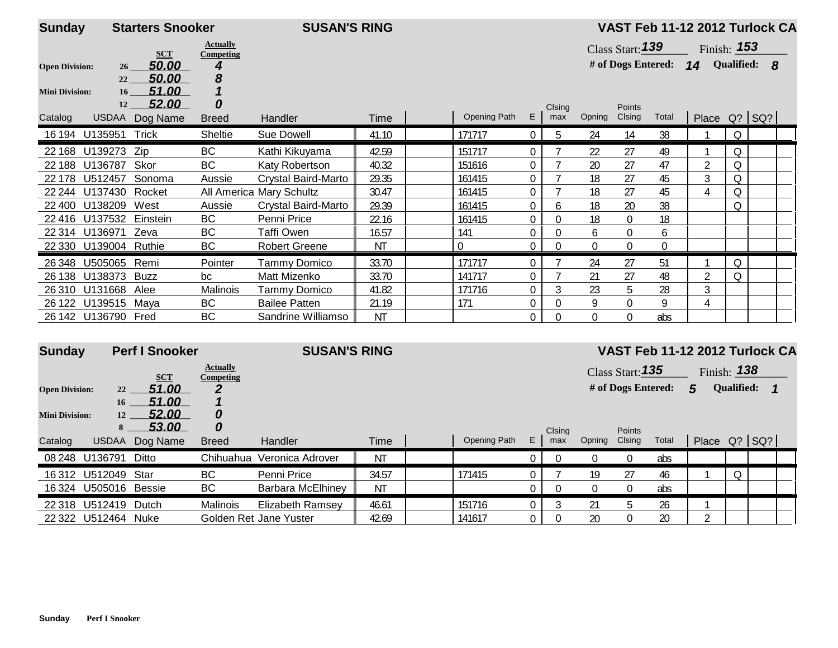| <b>Sunday</b>         |                       | <b>Starters Snooker</b> |                              | <b>SUSAN'S RING</b>      |           |                     |                |              |             |                    |                  |                | VAST Feb 11-12 2012 Turlock CA |  |
|-----------------------|-----------------------|-------------------------|------------------------------|--------------------------|-----------|---------------------|----------------|--------------|-------------|--------------------|------------------|----------------|--------------------------------|--|
|                       |                       | <b>SCT</b>              | <b>Actually</b><br>Competing |                          |           |                     |                |              |             | Class Start: $139$ |                  |                | Finish: <b>153</b>             |  |
| <b>Open Division:</b> | 26                    | 50.00                   |                              |                          |           |                     |                |              |             | # of Dogs Entered: |                  | 14             | Qualified: 8                   |  |
|                       | 22                    | 50.00                   | 8                            |                          |           |                     |                |              |             |                    |                  |                |                                |  |
| <b>Mini Division:</b> | 16                    | 51.00                   |                              |                          |           |                     |                |              |             |                    |                  |                |                                |  |
|                       | 12                    | 52.00                   | 0                            |                          |           |                     |                | Clsing       |             | Points             |                  |                |                                |  |
| Catalog               | <b>USDAA</b>          | Dog Name                | <b>Breed</b>                 | Handler                  | Time      | <b>Opening Path</b> | E              | max          | Opning      | Clsing             | Total            |                | Place Q? SQ?                   |  |
| 16 194                | U135951               | Trick                   | Sheltie                      | Sue Dowell               | 41.10     | 171717              | $\overline{0}$ | 5            | 24          | 14                 | 38               |                | Q                              |  |
| 22 168                | U139273               | Zip                     | <b>BC</b>                    | Kathi Kikuyama           | 42.59     | 151717              | $\Omega$       |              | 22          | 27                 | 49               |                | Q                              |  |
| 22 188                | U136787               | Skor                    | <b>BC</b>                    | Katy Robertson           | 40.32     | 151616              | $\mathbf 0$    |              | 20          | 27                 | 47               | $\overline{2}$ | Q                              |  |
| 22 178                | U512457               | Sonoma                  | Aussie                       | Crystal Baird-Marto      | 29.35     | 161415              | $\overline{0}$ |              | 18          | 27                 | 45               | 3              | Q                              |  |
| 22 244                | U137430 Rocket        |                         |                              | All America Mary Schultz | 30.47     | 161415              | $\overline{0}$ |              | 18          | 27                 | 45               | 4              | Q                              |  |
| 22 400                | U138209               | West                    | Aussie                       | Crystal Baird-Marto      | 29.39     | 161415              | $\mathbf 0$    | 6            | 18          | 20                 | 38               |                | Q                              |  |
| 22 4 16               | U137532               | Einstein                | <b>BC</b>                    | Penni Price              | 22.16     | 161415              | $\mathbf{0}$   | $\Omega$     | 18          | $\overline{0}$     | 18               |                |                                |  |
| 22 3 14               | U136971               | Zeva                    | <b>BC</b>                    | Taffi Owen               | 16.57     | 141                 | $\mathbf 0$    | $\Omega$     | 6           | $\overline{0}$     | 6                |                |                                |  |
|                       | 22 330 U139004 Ruthie |                         | <b>BC</b>                    | <b>Robert Greene</b>     | ΝT        | $\mathbf 0$         | 0              | $\mathbf{0}$ | $\mathbf 0$ | $\overline{0}$     | $\boldsymbol{0}$ |                |                                |  |
| 26 348                | U505065               | Remi                    | Pointer                      | Tammy Domico             | 33.70     | 171717              | $\mathbf{0}$   |              | 24          | 27                 | 51               |                | Q                              |  |
| 26 138                | U138373               | <b>Buzz</b>             | bc                           | Matt Mizenko             | 33.70     | 141717              | 0              |              | 21          | 27                 | 48               | 2              | Q                              |  |
| 26 310                | U131668               | Alee                    | Malinois                     | Tammy Domico             | 41.82     | 171716              | 0              | 3            | 23          | 5                  | 28               | 3              |                                |  |
|                       | 26 122 U139515 Maya   |                         | <b>BC</b>                    | <b>Bailee Patten</b>     | 21.19     | 171                 | $\mathbf 0$    | $\Omega$     | 9           | $\mathbf 0$        | 9                | 4              |                                |  |
|                       | 26 142 U136790 Fred   |                         | <b>BC</b>                    | Sandrine Williamso       | <b>NT</b> |                     | $\mathbf 0$    | 0            | $\Omega$    | $\overline{0}$     | abs              |                |                                |  |

| <b>Sunday</b>         |                      | <b>Perf I Snooker</b> |                                     | <b>SUSAN'S RING</b>    |             |              |          |        |          |                    |       | VAST Feb 11-12 2012 Turlock CA |                    |              |  |
|-----------------------|----------------------|-----------------------|-------------------------------------|------------------------|-------------|--------------|----------|--------|----------|--------------------|-------|--------------------------------|--------------------|--------------|--|
|                       |                      | $scr$                 | <b>Actually</b><br><b>Competing</b> |                        |             |              |          |        |          | Class Start: 135   |       |                                | Finish: <b>138</b> |              |  |
| <b>Open Division:</b> | 22                   | 51.00                 |                                     |                        |             |              |          |        |          | # of Dogs Entered: |       | 5                              | <b>Qualified:</b>  |              |  |
|                       | 16                   | 51.00                 |                                     |                        |             |              |          |        |          |                    |       |                                |                    |              |  |
| <b>Mini Division:</b> | 12                   | 52.00                 | U                                   |                        |             |              |          |        |          |                    |       |                                |                    |              |  |
|                       | 8                    | 53.00                 | 0                                   |                        |             |              |          | Clsing |          | Points             |       |                                |                    |              |  |
| Catalog               | <b>USDAA</b>         | Dog Name              | <b>Breed</b>                        | Handler                | <b>Time</b> | Opening Path | E        | max    | Opning   | Clsing             | Total | Place                          |                    | $Q$ ? $SQ$ ? |  |
|                       | 08 248 U136791       | Ditto                 | Chihuahua                           | Veronica Adrover       | ΝT          |              | 0        |        | $\theta$ | $\mathbf 0$        | abs   |                                |                    |              |  |
|                       | 16312 U512049        | Star                  | BC.                                 | Penni Price            | 34.57       | 171415       |          |        | 19       | 27                 | 46    |                                | $\Omega$           |              |  |
|                       |                      | 16 324 U505016 Bessie | BC                                  | Barbara McElhinev      | ΝT          |              | $\Omega$ |        | $\Omega$ | $\mathbf{0}$       | abs   |                                |                    |              |  |
|                       | 22 318 U512419 Dutch |                       | Malinois                            | Elizabeth Ramsey       | 46.61       | 151716       | $\Omega$ |        | 21       | b.                 | 26    |                                |                    |              |  |
|                       | 22 322 U512464 Nuke  |                       |                                     | Golden Ret Jane Yuster | 42.69       | 141617       | $\Omega$ |        | 20       | $\Omega$           | 20    |                                |                    |              |  |